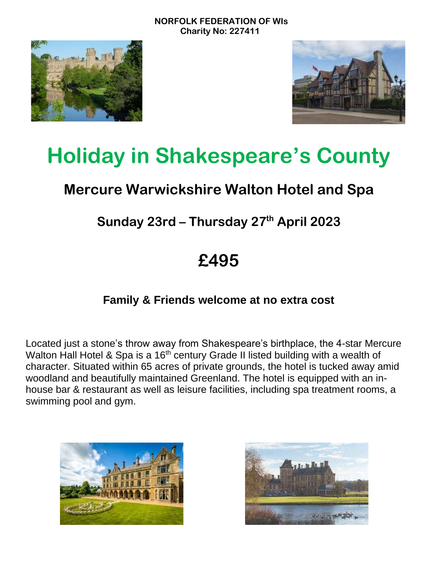



# **Holiday in Shakespeare's County**

## **Mercure Warwickshire Walton Hotel and Spa**

## **Sunday 23rd – Thursday 27 th April 2023**

## **£495**

## **Family & Friends welcome at no extra cost**

Located just a stone's throw away from Shakespeare's birthplace, the 4-star Mercure Walton Hall Hotel & Spa is a 16<sup>th</sup> century Grade II listed building with a wealth of character. Situated within 65 acres of private grounds, the hotel is tucked away amid woodland and beautifully maintained Greenland. The hotel is equipped with an inhouse bar & restaurant as well as leisure facilities, including spa treatment rooms, a swimming pool and gym.



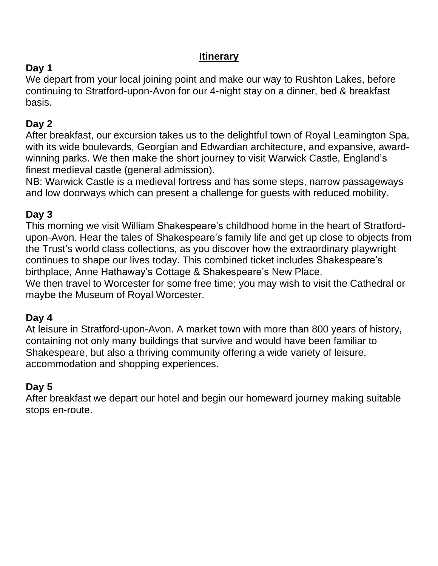### **Itinerary**

## **Day 1**

We depart from your local joining point and make our way to Rushton Lakes, before continuing to Stratford-upon-Avon for our 4-night stay on a dinner, bed & breakfast basis.

## **Day 2**

After breakfast, our excursion takes us to the delightful town of Royal Leamington Spa, with its wide boulevards, Georgian and Edwardian architecture, and expansive, awardwinning parks. We then make the short journey to visit Warwick Castle, England's finest medieval castle (general admission).

NB: Warwick Castle is a medieval fortress and has some steps, narrow passageways and low doorways which can present a challenge for guests with reduced mobility.

## **Day 3**

This morning we visit William Shakespeare's childhood home in the heart of Stratfordupon-Avon. Hear the tales of Shakespeare's family life and get up close to objects from the Trust's world class collections, as you discover how the extraordinary playwright continues to shape our lives today. This combined ticket includes Shakespeare's birthplace, Anne Hathaway's Cottage & Shakespeare's New Place.

We then travel to Worcester for some free time; you may wish to visit the Cathedral or maybe the Museum of Royal Worcester.

## **Day 4**

At leisure in Stratford-upon-Avon. A market town with more than 800 years of history, containing not only many buildings that survive and would have been familiar to Shakespeare, but also a thriving community offering a wide variety of leisure, accommodation and shopping experiences.

## **Day 5**

After breakfast we depart our hotel and begin our homeward journey making suitable stops en-route.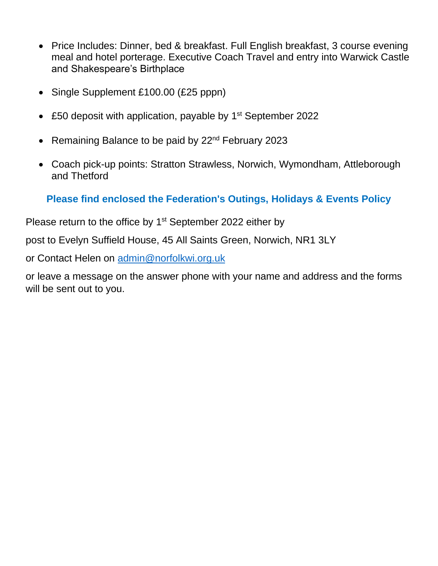- Price Includes: Dinner, bed & breakfast. Full English breakfast, 3 course evening meal and hotel porterage. Executive Coach Travel and entry into Warwick Castle and Shakespeare's Birthplace
- Single Supplement £100.00 (£25 pppn)
- £50 deposit with application, payable by 1<sup>st</sup> September 2022
- Remaining Balance to be paid by 22<sup>nd</sup> February 2023
- Coach pick-up points: Stratton Strawless, Norwich, Wymondham, Attleborough and Thetford

### **Please find enclosed the Federation's Outings, Holidays & Events Policy**

Please return to the office by  $1<sup>st</sup>$  September 2022 either by

post to Evelyn Suffield House, 45 All Saints Green, Norwich, NR1 3LY

or Contact Helen on [admin@norfolkwi.org.uk](mailto:admin@norfolkwi.org.uk)

or leave a message on the answer phone with your name and address and the forms will be sent out to you.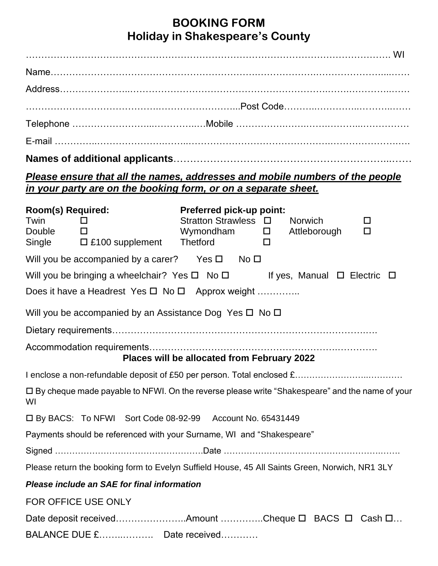## **BOOKING FORM Holiday in Shakespeare's County**

| Please ensure that all the names, addresses and mobile numbers of the people<br>in your party are on the booking form, or on a separate sheet. |                                                                                                          |  |  |             |
|------------------------------------------------------------------------------------------------------------------------------------------------|----------------------------------------------------------------------------------------------------------|--|--|-------------|
| Room(s) Required:<br>Twin<br>and the El<br>Double $\Box$                                                                                       | <b>Preferred pick-up point:</b><br>Stratton Strawless $\Box$ Norwich<br>Wymondham $\square$ Attleborough |  |  | □<br>$\Box$ |
| Will you be accompanied by a carer? Yes $\square$ No $\square$                                                                                 |                                                                                                          |  |  |             |
| Will you be bringing a wheelchair? Yes $\Box$ No $\Box$ If yes, Manual $\Box$ Electric $\Box$                                                  |                                                                                                          |  |  |             |
| Does it have a Headrest Yes $\square$ No $\square$ Approx weight                                                                               |                                                                                                          |  |  |             |
| Will you be accompanied by an Assistance Dog Yes $\Box$ No $\Box$                                                                              |                                                                                                          |  |  |             |
|                                                                                                                                                |                                                                                                          |  |  |             |
|                                                                                                                                                | Places will be allocated from February 2022                                                              |  |  |             |
|                                                                                                                                                |                                                                                                          |  |  |             |
| □ By cheque made payable to NFWI. On the reverse please write "Shakespeare" and the name of your<br>WI                                         |                                                                                                          |  |  |             |
| □ By BACS: To NFWI Sort Code 08-92-99 Account No. 65431449                                                                                     |                                                                                                          |  |  |             |
| Payments should be referenced with your Surname, WI and "Shakespeare"                                                                          |                                                                                                          |  |  |             |
|                                                                                                                                                |                                                                                                          |  |  |             |
| Please return the booking form to Evelyn Suffield House, 45 All Saints Green, Norwich, NR1 3LY                                                 |                                                                                                          |  |  |             |
| Please include an SAE for final information                                                                                                    |                                                                                                          |  |  |             |
| FOR OFFICE USE ONLY                                                                                                                            |                                                                                                          |  |  |             |
| Date deposit receivedAmount Cheque $\Box$ BACS $\Box$ Cash $\Box$                                                                              |                                                                                                          |  |  |             |
| BALANCE DUE £ Date received                                                                                                                    |                                                                                                          |  |  |             |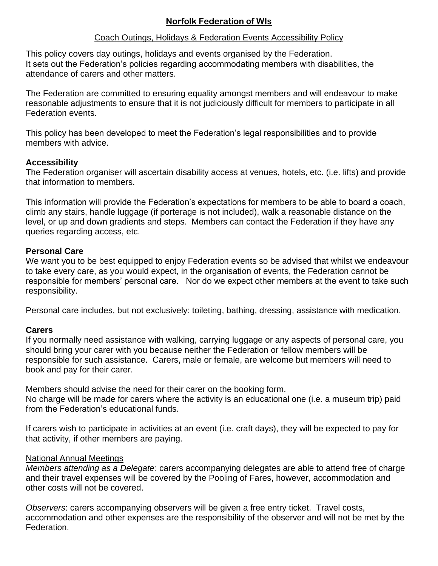#### **Norfolk Federation of WIs**

#### Coach Outings, Holidays & Federation Events Accessibility Policy

This policy covers day outings, holidays and events organised by the Federation. It sets out the Federation's policies regarding accommodating members with disabilities, the attendance of carers and other matters.

The Federation are committed to ensuring equality amongst members and will endeavour to make reasonable adjustments to ensure that it is not judiciously difficult for members to participate in all Federation events.

This policy has been developed to meet the Federation's legal responsibilities and to provide members with advice.

#### **Accessibility**

The Federation organiser will ascertain disability access at venues, hotels, etc. (i.e. lifts) and provide that information to members.

This information will provide the Federation's expectations for members to be able to board a coach, climb any stairs, handle luggage (if porterage is not included), walk a reasonable distance on the level, or up and down gradients and steps. Members can contact the Federation if they have any queries regarding access, etc.

#### **Personal Care**

We want you to be best equipped to enjoy Federation events so be advised that whilst we endeavour to take every care, as you would expect, in the organisation of events, the Federation cannot be responsible for members' personal care. Nor do we expect other members at the event to take such responsibility.

Personal care includes, but not exclusively: toileting, bathing, dressing, assistance with medication.

#### **Carers**

If you normally need assistance with walking, carrying luggage or any aspects of personal care, you should bring your carer with you because neither the Federation or fellow members will be responsible for such assistance. Carers, male or female, are welcome but members will need to book and pay for their carer.

Members should advise the need for their carer on the booking form.

No charge will be made for carers where the activity is an educational one (i.e. a museum trip) paid from the Federation's educational funds.

If carers wish to participate in activities at an event (i.e. craft days), they will be expected to pay for that activity, if other members are paying.

#### National Annual Meetings

*Members attending as a Delegate*: carers accompanying delegates are able to attend free of charge and their travel expenses will be covered by the Pooling of Fares, however, accommodation and other costs will not be covered.

*Observers*: carers accompanying observers will be given a free entry ticket. Travel costs, accommodation and other expenses are the responsibility of the observer and will not be met by the Federation.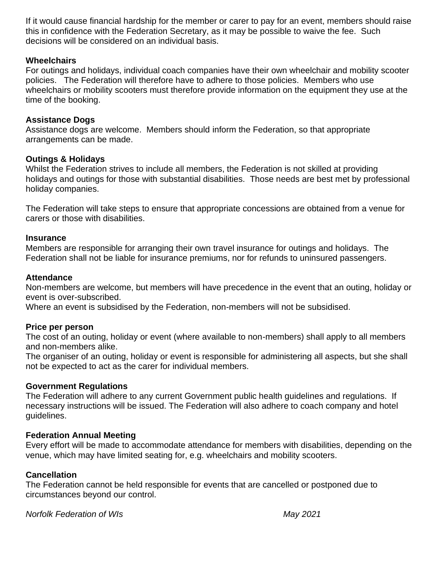If it would cause financial hardship for the member or carer to pay for an event, members should raise this in confidence with the Federation Secretary, as it may be possible to waive the fee. Such decisions will be considered on an individual basis.

#### **Wheelchairs**

For outings and holidays, individual coach companies have their own wheelchair and mobility scooter policies. The Federation will therefore have to adhere to those policies. Members who use wheelchairs or mobility scooters must therefore provide information on the equipment they use at the time of the booking.

#### **Assistance Dogs**

Assistance dogs are welcome. Members should inform the Federation, so that appropriate arrangements can be made.

#### **Outings & Holidays**

Whilst the Federation strives to include all members, the Federation is not skilled at providing holidays and outings for those with substantial disabilities. Those needs are best met by professional holiday companies.

The Federation will take steps to ensure that appropriate concessions are obtained from a venue for carers or those with disabilities.

#### **Insurance**

Members are responsible for arranging their own travel insurance for outings and holidays. The Federation shall not be liable for insurance premiums, nor for refunds to uninsured passengers.

#### **Attendance**

Non-members are welcome, but members will have precedence in the event that an outing, holiday or event is over-subscribed.

Where an event is subsidised by the Federation, non-members will not be subsidised.

#### **Price per person**

The cost of an outing, holiday or event (where available to non-members) shall apply to all members and non-members alike.

The organiser of an outing, holiday or event is responsible for administering all aspects, but she shall not be expected to act as the carer for individual members.

#### **Government Regulations**

The Federation will adhere to any current Government public health guidelines and regulations. If necessary instructions will be issued. The Federation will also adhere to coach company and hotel guidelines.

#### **Federation Annual Meeting**

Every effort will be made to accommodate attendance for members with disabilities, depending on the venue, which may have limited seating for, e.g. wheelchairs and mobility scooters.

#### **Cancellation**

The Federation cannot be held responsible for events that are cancelled or postponed due to circumstances beyond our control.

*Norfolk Federation of WIs May 2021*